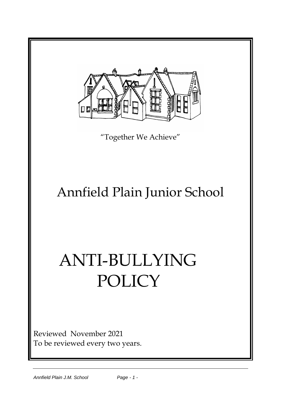

To be reviewed every two years.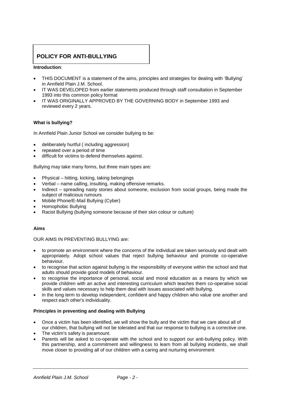# **POLICY FOR ANTI-BULLYING**

## **Introduction**:

- THIS DOCUMENT is a statement of the aims, principles and strategies for dealing with 'Bullying' in Annfield Plain J.M. School.
- IT WAS DEVELOPED from earlier statements produced through staff consultation in September 1993 into this common policy format
- IT WAS ORIGINALLY APPROVED BY THE GOVERNING BODY in September 1993 and reviewed every 2 years.

## **What is bullying?**

In Annfield Plain Junior School we consider bullying to be:

- deliberately hurtful ( including aggression)
- repeated over a period of time
- difficult for victims to defend themselves against.

Bullying may take many forms, but three main types are:

- Physical hitting, kicking, taking belongings
- Verbal name calling, insulting, making offensive remarks.
- Indirect spreading nasty stories about someone, exclusion from social groups, being made the subject of malicious rumours
- Mobile Phone/E-Mail Bullying (Cyber)
- Homophobic Bullying
- Racist Bullying (bullying someone because of their skin colour or culture)

#### **Aims**

OUR AIMS IN PREVENTING BULLYING are:

- to promote an environment where the concerns of the individual are taken seriously and dealt with appropriately. Adopt school values that reject bullying behaviour and promote co-operative behaviour.
- to recognise that action against bullying is the responsibility of everyone within the school and that adults should provide good models of behaviour.
- to recognise the importance of personal, social and moral education as a means by which we provide children with an active and interesting curriculum which teaches them co-operative social skills and values necessary to help them deal with issues associated with bullying.
- in the long term to develop independent, confident and happy children who value one another and respect each other's individuality.

#### **Principles in preventing and dealing with Bullying**

- Once a victim has been identified, we will show the bully and the victim that we care about all of our children, that bullying will not be tolerated and that our response to bullying is a corrective one.
- The victim's safety is paramount.
- Parents will be asked to co-operate with the school and to support our anti-bullying policy. With this partnership, and a commitment and willingness to learn from all bullying incidents, we shall move closer to providing all of our children with a caring and nurturing environment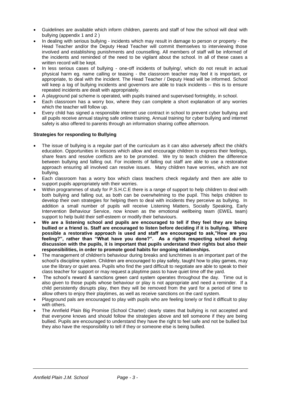- Guidelines are available which inform children, parents and staff of how the school will deal with bullying (appendix 1 and 2 )
- In dealing with serious bullying incidents which may result in damage to person or property the Head Teacher and/or the Deputy Head Teacher will commit themselves to interviewing those involved and establishing punishments and counselling. All members of staff will be informed of the incidents and reminded of the need to be vigilant about the school. In all of these cases a written record will be kept.
- In less serious cases of bullying one-off incidents of bullying/, which do not result in actual physical harm eg. name calling or teasing - the classroom teacher may feel it is important, or appropriate, to deal with the incident. The Head Teacher / Deputy Head will be informed. School will keep a log of bullying incidents and governors are able to track incidents – this is to ensure repeated incidents are dealt with appropriately.
- A playground pal scheme is operated, with pupils trained and supervised fortnightly, in school.
- Each classroom has a worry box, where they can complete a short explanation of any worries which the teacher will follow up.
- Every child has signed a responsible internet use contract in school to prevent cyber bullying and all pupils receive annual staying safe online training. Annual training for cyber bullying and internet safety is also offered to parents through an information sharing coffee afternoon.

## **Strategies for responding to Bullying**

- The issue of bullying is a regular part of the curriculum as it can also adversely affect the child's education. Opportunities in lessons which allow and encourage children to express their feelings, share fears and resolve conflicts are to be promoted. We try to teach children the difference between bullying and falling out. For incidents of falling out staff are able to use a restorative approach ensuring all involved can resolve issues. Many children have worries, which are not bullying.
- Each classroom has a worry box which class teachers check regularly and then are able to support pupils appropriately with their worries.
- Within programmes of study for P.S.H.C.E there is a range of support to help children to deal with both bullying and falling out, as both can be overwhelming to the pupil. This helps children to develop their own strategies for helping them to deal with incidents they perceive as bullying. In addition a small number of pupils will receive Listening Matters, Socially Speaking, Early Intervention Behaviour Service, now known as the emotional wellbeing team (EWEL team) support to help build their self-esteem or modify their behaviours.
- **We are a listening school and pupils are encouraged to tell if they feel they are being bullied or a friend is. Staff are encouraged to listen before deciding if it is bullying. Where possible a restorative approach is used and staff are encouraged to ask,"How are you feeling?", rather than "What have you done?". As a rights respecting school during discussion with the pupils, it is important that pupils understand their rights but also their responsibilities, in order to promote good habits for ongoing relationships.**
- The management of children's behaviour during breaks and lunchtimes is an important part of the school's discipline system. Children are encouraged to play safely, taught how to play games, may use the library or quiet area. Pupils who find the yard difficult to negotiate are able to speak to their class teacher for support or may request a playtime pass to have quiet time off the yard.
- The school's reward & sanctions green card system operates throughout the day. Time out is also given to those pupils whose behaviour or play is not appropriate and need a reminder. If a child persistently disrupts play, then they will be removed from the yard for a period of time to allow others to enjoy their playtimes, as well as receive sanctions on the card system.
- Playground pals are encouraged to play with pupils who are feeling lonely or find it difficult to play with others.
- The Annfield Plain Big Promise (School Charter) clearly states that bullying is not accepted and that everyone knows and should follow the strategies above and tell someone if they are being bullied. Pupils are encouraged to understand they have the right to feel safe and not be bullied but they also have the responsibility to tell if they or someone else is being bullied.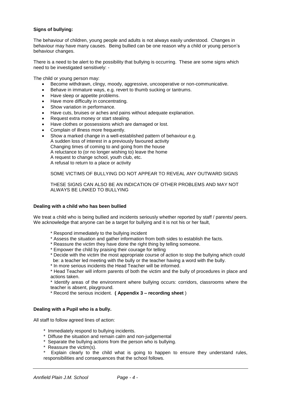## **Signs of bullying:**

The behaviour of children, young people and adults is not always easily understood. Changes in behaviour may have many causes. Being bullied can be one reason why a child or young person's behaviour changes.

There is a need to be alert to the possibility that bullying is occurring. These are some signs which need to be investigated sensitively: -

The child or young person may:

- Become withdrawn, clingy, moody, aggressive, uncooperative or non-communicative.
- Behave in immature ways, e.g. revert to thumb sucking or tantrums.
- Have sleep or appetite problems.
- Have more difficulty in concentrating.
- Show variation in performance.
- Have cuts, bruises or aches and pains without adequate explanation.
- Request extra money or start stealing.
- Have clothes or possessions which are damaged or lost.
- Complain of illness more frequently.
- Show a marked change in a well-established pattern of behaviour e.g. A sudden loss of interest in a previously favoured activity Changing times of coming to and going from the house A reluctance to (or no longer wishing to) leave the home A request to change school, youth club, etc. A refusal to return to a place or activity

#### SOME VICTIMS OF BULLYING DO NOT APPEAR TO REVEAL ANY OUTWARD SIGNS

THESE SIGNS CAN ALSO BE AN INDICATION OF OTHER PROBLEMS AND MAY NOT ALWAYS BE LINKED TO BULLYING

#### **Dealing with a child who has been bullied**

We treat a child who is being bullied and incidents seriously whether reported by staff / parents/ peers. We acknowledge that anyone can be a target for bullying and it is not his or her fault,

- \* Respond immediately to the bullying incident
- \* Assess the situation and gather information from both sides to establish the facts.
- \* Reassure the victim they have done the right thing by telling someone.
- \* Empower the child by praising their courage for telling
- \* Decide with the victim the most appropriate course of action to stop the bullying which could be: a teacher led meeting with the bully or the teacher having a word with the bully.
- \* In more serious incidents the Head Teacher will be informed.

\* Head Teacher will inform parents of both the victim and the bully of procedures in place and actions taken.

\* Identify areas of the environment where bullying occurs: corridors, classrooms where the teacher is absent, playground.

\* Record the serious incident. **( Appendix 3 – recording sheet** )

#### **Dealing with a Pupil who is a bully.**

All staff to follow agreed lines of action:

- \* Immediately respond to bullying incidents.
- \* Diffuse the situation and remain calm and non-judgemental
- \* Separate the bullying actions from the person who is bullying.
- Reassure the victim(s).
- Explain clearly to the child what is going to happen to ensure they understand rules, responsibilities and consequences that the school follows.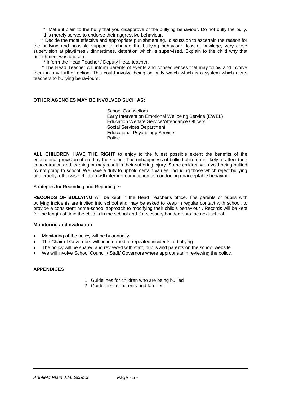\* Make it plain to the bully that you disapprove of the bullying behaviour. Do not bully the bully. this merely serves to endorse their aggressive behaviour.

\* Decide the most effective and appropriate punishment eg. discussion to ascertain the reason for the bullying and possible support to change the bullying behaviour, loss of privilege, very close supervision at playtimes / dinnertimes, detention which is supervised. Explain to the child why that punishment was chosen.

\* Inform the Head Teacher / Deputy Head teacher.

\* The Head Teacher will inform parents of events and consequences that may follow and involve them in any further action. This could involve being on bully watch which is a system which alerts teachers to bullying behaviours.

## **OTHER AGENCIES MAY BE INVOLVED SUCH AS:**

School Counsellors Early Intervention Emotional Wellbeing Service (EWEL) Education Welfare Service/Attendance Officers Social Services Department Educational Psychology Service Police

**ALL CHILDREN HAVE THE RIGHT** to enjoy to the fullest possible extent the benefits of the educational provision offered by the school. The unhappiness of bullied children is likely to affect their concentration and learning or may result in their suffering injury. Some children will avoid being bullied by not going to school. We have a duty to uphold certain values, including those which reject bullying and cruelty, otherwise children will interpret our inaction as condoning unacceptable behaviour.

Strategies for Recording and Reporting :~

**RECORDS OF BULLYING** will be kept in the Head Teacher's office. The parents of pupils with bullying incidents are invited into school and may be asked to keep in regular contact with school, to provide a consistent home-school approach to modifying their child's behaviour . Records will be kept for the length of time the child is in the school and if necessary handed onto the next school.

#### **Monitoring and evaluation**

- Monitoring of the policy will be bi-annually.
- The Chair of Governors will be informed of repeated incidents of bullying.
- The policy will be shared and reviewed with staff, pupils and parents on the school website.
- We will involve School Council / Staff/ Governors where appropriate in reviewing the policy.

## **APPENDICES**

- 1 Guidelines for children who are being bullied
- 2 Guidelines for parents and families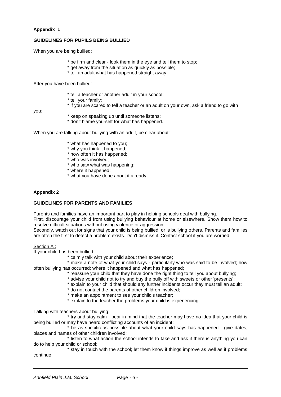## **Appendix 1**

# **GUIDELINES FOR PUPILS BEING BULLIED**

When you are being bullied:

- \* be firm and clear look them in the eye and tell them to stop;
- \* get away from the situation as quickly as possible;
- \* tell an adult what has happened straight away.

After you have been bullied:

- \* tell a teacher or another adult in your school;
- \* tell your family;
- \* if you are scared to tell a teacher or an adult on your own, ask a friend to go with

you;

- \* keep on speaking up until someone listens;
- \* don't blame yourself for what has happened.

When you are talking about bullying with an adult, be clear about:

- \* what has happened to you;
- \* why you think it happened;
- \* how often it has happened;
- \* who was involved;
- \* who saw what was happening;
- \* where it happened;
- \* what you have done about it already.

#### **Appendix 2**

## **GUIDELINES FOR PARENTS AND FAMILIES**

Parents and families have an important part to play in helping schools deal with bullying.

First, discourage your child from using bullying behaviour at home or elsewhere. Show them how to resolve difficult situations without using violence or aggression.

Secondly, watch out for signs that your child is being bullied, or is bullying others. Parents and families are often the first to detect a problem exists. Don't dismiss it. Contact school if you are worried.

#### Section A :

If your child has been bullied:

\* calmly talk with your child about their experience;

\* make a note of what your child says - particularly who was said to be involved; how often bullying has occurred; where it happened and what has happened;

- \* reassure your child that they have done the right thing to tell you about bullying;
- \* advise your child not to try and buy the bully off with sweets or other 'presents';
- \* explain to your child that should any further incidents occur they must tell an adult;
- \* do not contact the parents of other children involved;
- \* make an appointment to see your child's teacher;
- \* explain to the teacher the problems your child is experiencing.

Talking with teachers about bullying:

\* try and stay calm - bear in mind that the teacher may have no idea that your child is being bullied or may have heard conflicting accounts of an incident;

\* be as specific as possible about what your child says has happened - give dates, places and names of other children involved;

\* listen to what action the school intends to take and ask if there is anything you can do to help your child or school;

\* stay in touch with the school; let them know if things improve as well as if problems continue.